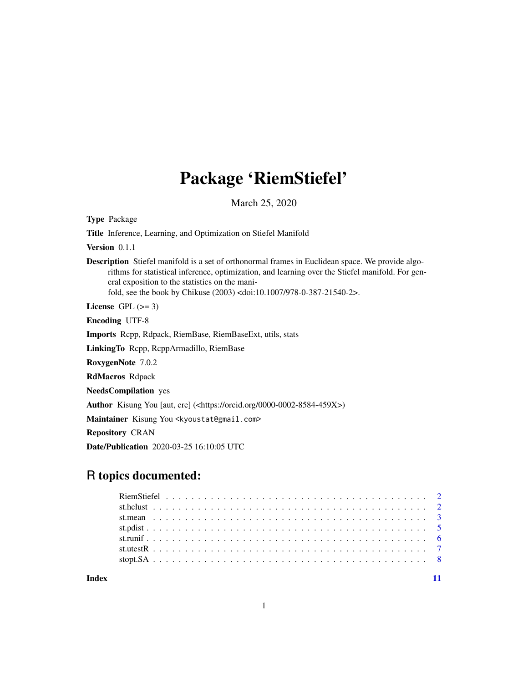# Package 'RiemStiefel'

March 25, 2020

<span id="page-0-0"></span>Type Package

Title Inference, Learning, and Optimization on Stiefel Manifold

Version 0.1.1

Description Stiefel manifold is a set of orthonormal frames in Euclidean space. We provide algorithms for statistical inference, optimization, and learning over the Stiefel manifold. For general exposition to the statistics on the manifold, see the book by Chikuse (2003) <doi:10.1007/978-0-387-21540-2>.

License GPL  $(>= 3)$ 

Encoding UTF-8

Imports Rcpp, Rdpack, RiemBase, RiemBaseExt, utils, stats

LinkingTo Rcpp, RcppArmadillo, RiemBase

RoxygenNote 7.0.2

RdMacros Rdpack

NeedsCompilation yes

Author Kisung You [aut, cre] (<https://orcid.org/0000-0002-8584-459X>)

Maintainer Kisung You <kyoustat@gmail.com>

Repository CRAN

Date/Publication 2020-03-25 16:10:05 UTC

# R topics documented:

**Index** [11](#page-10-0)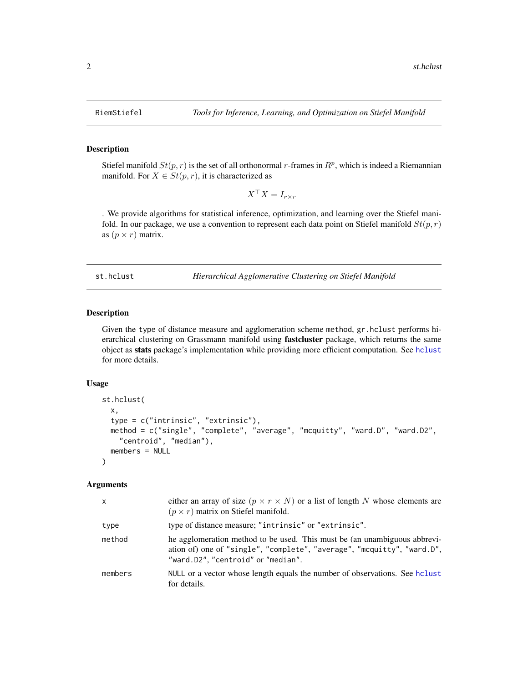#### Description

Stiefel manifold  $St(p, r)$  is the set of all orthonormal r-frames in  $R^p$ , which is indeed a Riemannian manifold. For  $X \in St(p,r)$ , it is characterized as

$$
X^{\top} X = I_{r \times r}
$$

. We provide algorithms for statistical inference, optimization, and learning over the Stiefel manifold. In our package, we use a convention to represent each data point on Stiefel manifold  $St(p, r)$ as  $(p \times r)$  matrix.

st.hclust *Hierarchical Agglomerative Clustering on Stiefel Manifold*

# Description

Given the type of distance measure and agglomeration scheme method, gr.hclust performs hierarchical clustering on Grassmann manifold using **fastcluster** package, which returns the same object as stats package's implementation while providing more efficient computation. See [hclust](#page-0-0) for more details.

# Usage

```
st.hclust(
  x,
  type = c("intrinsic", "extrinsic"),
 method = c("single", "complete", "average", "mcquitty", "ward.D", "ward.D2",
    "centroid", "median"),
 members = NULL
)
```
#### Arguments

| $\mathsf{x}$ | either an array of size $(p \times r \times N)$ or a list of length N whose elements are<br>$(p \times r)$ matrix on Stiefel manifold.                                                     |
|--------------|--------------------------------------------------------------------------------------------------------------------------------------------------------------------------------------------|
| type         | type of distance measure; "intrinsic" or "extrinsic".                                                                                                                                      |
| method       | he agglomeration method to be used. This must be (an unambiguous abbrevi-<br>ation of) one of "single", "complete", "average", "mcquitty", "ward.D",<br>"ward.D2", "centroid" or "median". |
| members      | NULL or a vector whose length equals the number of observations. See holist<br>for details.                                                                                                |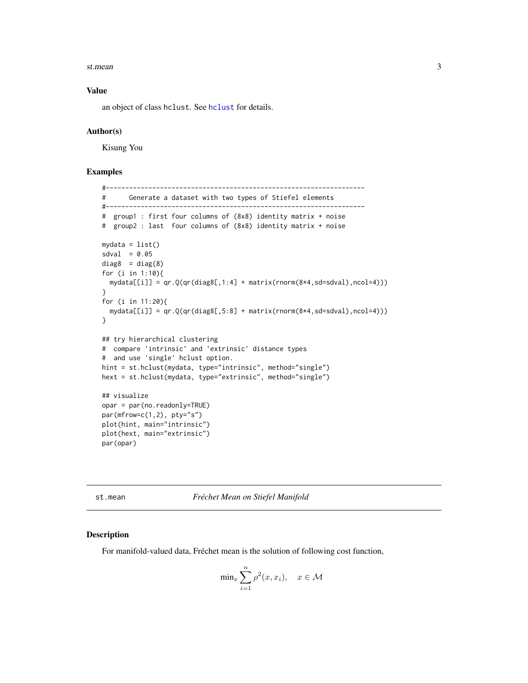#### <span id="page-2-0"></span>st.mean 3

# Value

an object of class hclust. See [hclust](#page-0-0) for details.

# Author(s)

Kisung You

# Examples

```
#-------------------------------------------------------------------
# Generate a dataset with two types of Stiefel elements
#-------------------------------------------------------------------
# group1 : first four columns of (8x8) identity matrix + noise
# group2 : last four columns of (8x8) identity matrix + noise
mydata = list()sdval = 0.05diag8 = diag(8)for (i in 1:10){
 mydata[[i]] = qr.Q(qr(diag8[,1:4] + matrix(rnorm(8*4,sd=sdval),ncol=4)))}
for (i in 11:20){
 mydata[[i]] = qr.Q(qr(diag8[,5:8] + matrix(rnorm(8*4,sd=sdval),ncol=4)))}
## try hierarchical clustering
# compare 'intrinsic' and 'extrinsic' distance types
# and use 'single' hclust option.
hint = st.hclust(mydata, type="intrinsic", method="single")
hext = st.hclust(mydata, type="extrinsic", method="single")
## visualize
opar = par(no.readonly=TRUE)
par(mfrow=c(1,2), pty="s")
plot(hint, main="intrinsic")
plot(hext, main="extrinsic")
par(opar)
```
st.mean *Fréchet Mean on Stiefel Manifold*

#### Description

For manifold-valued data, Fréchet mean is the solution of following cost function,

$$
\min_{x} \sum_{i=1}^{n} \rho^2(x, x_i), \quad x \in \mathcal{M}
$$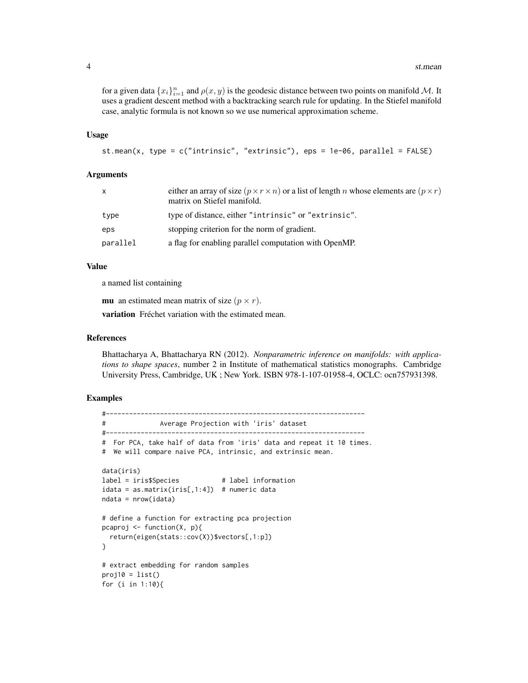for a given data  $\{x_i\}_{i=1}^n$  and  $\rho(x, y)$  is the geodesic distance between two points on manifold M. It uses a gradient descent method with a backtracking search rule for updating. In the Stiefel manifold case, analytic formula is not known so we use numerical approximation scheme.

#### Usage

```
st.mean(x, type = c("intrinsic", "extrinsic"), eps = 1e-06, parallel = FALSE)
```
### Arguments

| $\mathsf{x}$ | either an array of size $(p \times r \times n)$ or a list of length <i>n</i> whose elements are $(p \times r)$<br>matrix on Stiefel manifold. |
|--------------|-----------------------------------------------------------------------------------------------------------------------------------------------|
| type         | type of distance, either "intrinsic" or "extrinsic".                                                                                          |
| eps          | stopping criterion for the norm of gradient.                                                                                                  |
| parallel     | a flag for enabling parallel computation with OpenMP.                                                                                         |

# Value

a named list containing

**mu** an estimated mean matrix of size  $(p \times r)$ .

variation Fréchet variation with the estimated mean.

# References

Bhattacharya A, Bhattacharya RN (2012). *Nonparametric inference on manifolds: with applications to shape spaces*, number 2 in Institute of mathematical statistics monographs. Cambridge University Press, Cambridge, UK ; New York. ISBN 978-1-107-01958-4, OCLC: ocn757931398.

# Examples

```
#-------------------------------------------------------------------
# Average Projection with 'iris' dataset
#-------------------------------------------------------------------
# For PCA, take half of data from 'iris' data and repeat it 10 times.
# We will compare naive PCA, intrinsic, and extrinsic mean.
data(iris)
label = iris$Species # label information
idata = as_matrix(iris[,1:4]) # numeric data
ndata = nrow(idata)
# define a function for extracting pca projection
pcaproj <- function(X, p){
 return(eigen(stats::cov(X))$vectors[,1:p])
}
# extract embedding for random samples
proj10 = list()for (i in 1:10){
```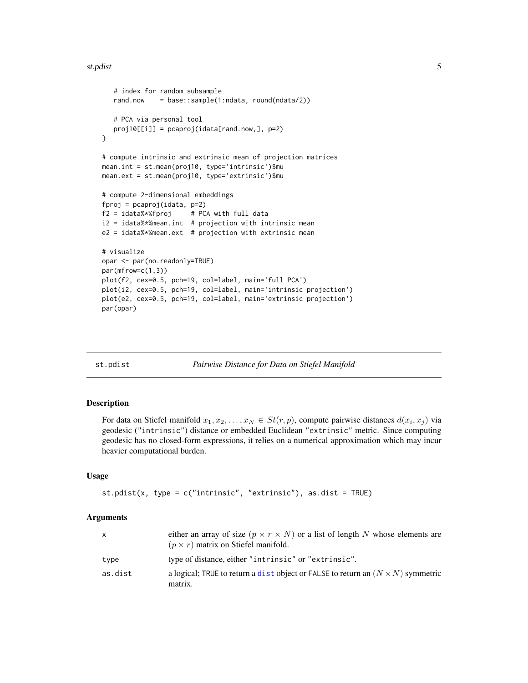#### <span id="page-4-0"></span>st.pdist 5

```
# index for random subsample
   rand.now = base::sample(1:ndata, round(ndata/2))
   # PCA via personal tool
   proj10[[i]] = pcaproj(idata[rand.now,], p=2)
}
# compute intrinsic and extrinsic mean of projection matrices
mean.int = st.mean(proj10, type='intrinsic')$mu
mean.ext = st.mean(proj10, type='extrinsic')$mu
# compute 2-dimensional embeddings
fproj = pcaproj(idata, p=2)
f2 = idata% * %fproj # PCA with full data
i2 = idata % mean.int # projection with intrinsic mean
e2 = idata%*%mean.ext # projection with extrinsic mean
# visualize
opar <- par(no.readonly=TRUE)
par(mfrow=c(1,3))
plot(f2, cex=0.5, pch=19, col=label, main='full PCA')
plot(i2, cex=0.5, pch=19, col=label, main='intrinsic projection')
plot(e2, cex=0.5, pch=19, col=label, main='extrinsic projection')
par(opar)
```
st.pdist *Pairwise Distance for Data on Stiefel Manifold*

# **Description**

For data on Stiefel manifold  $x_1, x_2, \ldots, x_N \in St(r, p)$ , compute pairwise distances  $d(x_i, x_j)$  via geodesic ("intrinsic") distance or embedded Euclidean "extrinsic" metric. Since computing geodesic has no closed-form expressions, it relies on a numerical approximation which may incur heavier computational burden.

#### Usage

```
st.pdist(x, type = c("intrinsic", "extrinsic"), as.dist = TRUE)
```
# Arguments

| $\mathsf{x}$ | either an array of size $(p \times r \times N)$ or a list of length N whose elements are<br>$(p \times r)$ matrix on Stiefel manifold. |
|--------------|----------------------------------------------------------------------------------------------------------------------------------------|
| type         | type of distance, either "intrinsic" or "extrinsic".                                                                                   |
| as.dist      | a logical; TRUE to return a dist object or FALSE to return an $(N \times N)$ symmetric<br>matrix.                                      |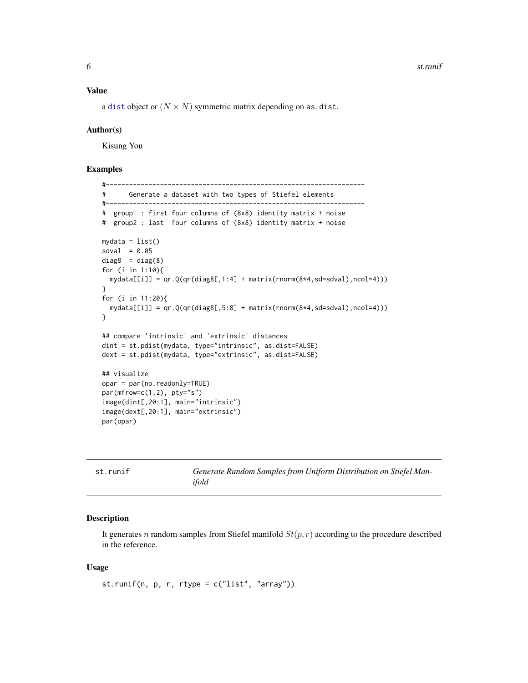#### <span id="page-5-0"></span>Value

a [dist](#page-0-0) object or  $(N \times N)$  symmetric matrix depending on as.dist.

#### Author(s)

Kisung You

# Examples

```
#-------------------------------------------------------------------
# Generate a dataset with two types of Stiefel elements
#-------------------------------------------------------------------
# group1 : first four columns of (8x8) identity matrix + noise
# group2 : last four columns of (8x8) identity matrix + noise
mydata = list()
sdval = 0.05diag8 = diag(8)for (i in 1:10){
  mydata[[i]] = qr.Q(qr(diag8[,1:4] + matrix(rnorm(8*4,sd=sdval),ncol=4)))}
for (i in 11:20){
  mydata[[i]] = qr.Q(qr(diag8[,5:8] + matrix(rnorm(8*4,sd=sdval),ncol=4)))
}
## compare 'intrinsic' and 'extrinsic' distances
dint = st.pdist(mydata, type="intrinsic", as.dist=FALSE)
dext = st.pdist(mydata, type="extrinsic", as.dist=FALSE)
## visualize
opar = par(no.readonly=TRUE)
par(mfrow=c(1,2), pty="s")
image(dint[,20:1], main="intrinsic")
image(dext[,20:1], main="extrinsic")
par(opar)
```

| st.runif | Generate Random Samples from Uniform Distribution on Stiefel Man- |
|----------|-------------------------------------------------------------------|
|          | ifold                                                             |

# Description

It generates n random samples from Stiefel manifold  $St(p, r)$  according to the procedure described in the reference.

# Usage

st.runif(n,  $p, r, r$ type =  $c("list", "array")$ )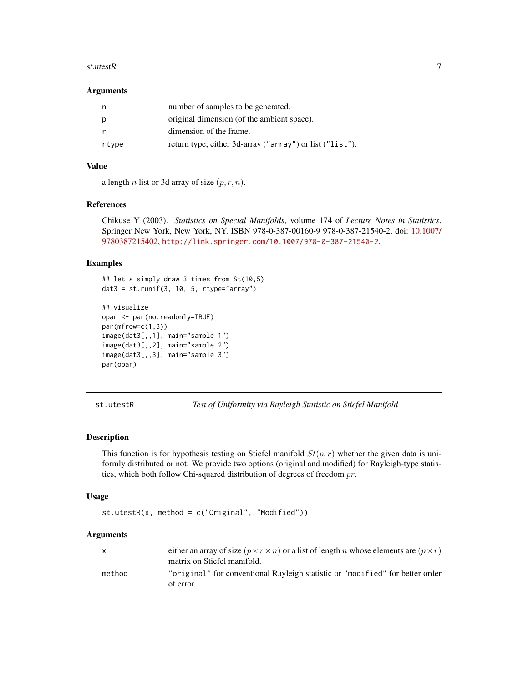#### <span id="page-6-0"></span>st.utestR 7

# **Arguments**

| n     | number of samples to be generated.                       |
|-------|----------------------------------------------------------|
| p     | original dimension (of the ambient space).               |
|       | dimension of the frame.                                  |
| rtype | return type; either 3d-array ("array") or list ("list"). |

# Value

a length *n* list or 3d array of size  $(p, r, n)$ .

#### References

Chikuse Y (2003). *Statistics on Special Manifolds*, volume 174 of *Lecture Notes in Statistics*. Springer New York, New York, NY. ISBN 978-0-387-00160-9 978-0-387-21540-2, doi: [10.1007/](https://doi.org/10.1007/978-0-387-21540-2) [9780387215402,](https://doi.org/10.1007/978-0-387-21540-2) <http://link.springer.com/10.1007/978-0-387-21540-2>.

# Examples

```
## let's simply draw 3 times from St(10,5)
data = st.runif(3, 10, 5, rtype="array")## visualize
opar <- par(no.readonly=TRUE)
par(mfrow=c(1,3))
image(dat3[,,1], main="sample 1")
image(dat3[,,2], main="sample 2")
image(dat3[,,3], main="sample 3")
par(opar)
```
st.utestR *Test of Uniformity via Rayleigh Statistic on Stiefel Manifold*

# Description

This function is for hypothesis testing on Stiefel manifold  $St(p, r)$  whether the given data is uniformly distributed or not. We provide two options (original and modified) for Rayleigh-type statistics, which both follow Chi-squared distribution of degrees of freedom  $pr$ .

# Usage

```
st.utestR(x, method = c("Original", "Modified"))
```
# Arguments

|        | either an array of size $(p \times r \times n)$ or a list of length <i>n</i> whose elements are $(p \times r)$<br>matrix on Stiefel manifold. |
|--------|-----------------------------------------------------------------------------------------------------------------------------------------------|
| method | "original" for conventional Rayleigh statistic or "modified" for better order<br>of error.                                                    |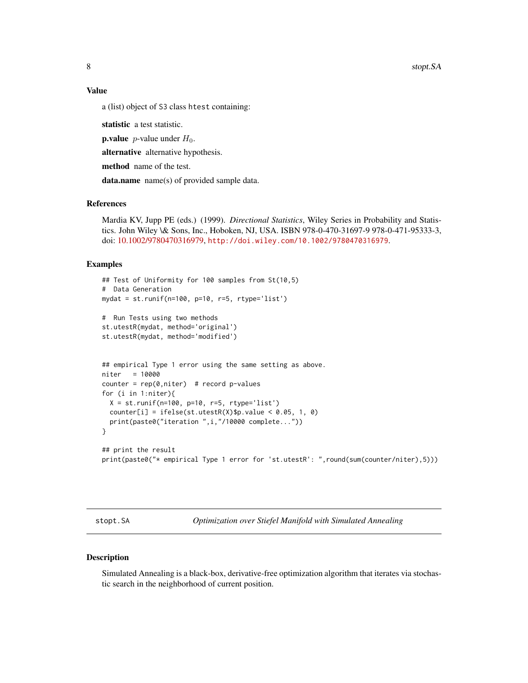<span id="page-7-0"></span>8 stop: SA

#### Value

a (list) object of S3 class htest containing:

statistic a test statistic.

**p.value** *p*-value under  $H_0$ .

alternative alternative hypothesis.

method name of the test.

data.name name(s) of provided sample data.

# References

Mardia KV, Jupp PE (eds.) (1999). *Directional Statistics*, Wiley Series in Probability and Statistics. John Wiley \& Sons, Inc., Hoboken, NJ, USA. ISBN 978-0-470-31697-9 978-0-471-95333-3, doi: [10.1002/9780470316979,](https://doi.org/10.1002/9780470316979) <http://doi.wiley.com/10.1002/9780470316979>.

# Examples

```
## Test of Uniformity for 100 samples from St(10,5)
# Data Generation
mydat = st.runif(n=100, p=10, r=5, rtype='list')
# Run Tests using two methods
st.utestR(mydat, method='original')
st.utestR(mydat, method='modified')
## empirical Type 1 error using the same setting as above.
niter = 10000
counter = rep(0,niter) # record p-values
for (i in 1:niter){
  X = st.runif(n=100, p=10, r=5, rtype='list')counter[i] = ifelse(stutestR(X)\p.value < 0.05, 1, 0)
  print(paste0("iteration ",i,"/10000 complete..."))
}
## print the result
print(paste0("* empirical Type 1 error for 'st.utestR': ",round(sum(counter/niter),5)))
```
stopt.SA *Optimization over Stiefel Manifold with Simulated Annealing*

# Description

Simulated Annealing is a black-box, derivative-free optimization algorithm that iterates via stochastic search in the neighborhood of current position.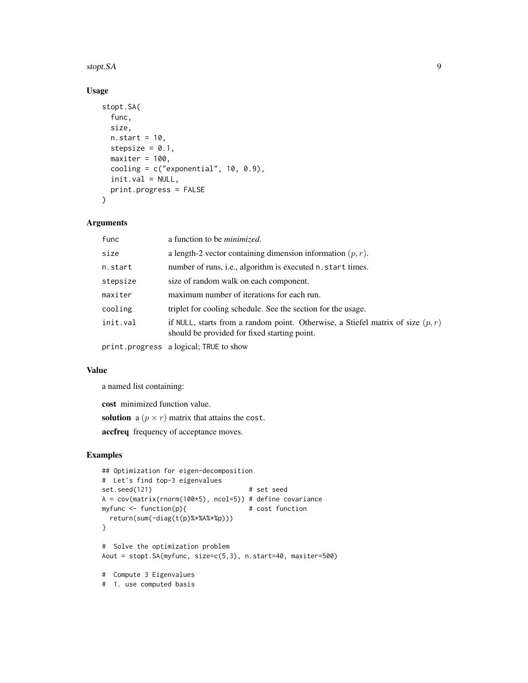#### stopt.SA 9

# Usage

```
stopt.SA(
  func,
  size,
 n.start = 10,stepsize = 0.1,
 maxiter = 100,
  cooling = c("exponential", 10, 0.9),
  init.val = NULL,print.progress = FALSE
\mathcal{L}
```
# Arguments

| func     | a function to be <i>minimized</i> .                                                                                               |
|----------|-----------------------------------------------------------------------------------------------------------------------------------|
| size     | a length-2 vector containing dimension information $(p, r)$ .                                                                     |
| n.start  | number of runs, <i>i.e.</i> , algorithm is executed n. start times.                                                               |
| stepsize | size of random walk on each component.                                                                                            |
| maxiter  | maximum number of iterations for each run.                                                                                        |
| cooling  | triplet for cooling schedule. See the section for the usage.                                                                      |
| init.val | if NULL, starts from a random point. Otherwise, a Stiefel matrix of size $(p, r)$<br>should be provided for fixed starting point. |
|          |                                                                                                                                   |

print.progress a logical; TRUE to show

# Value

a named list containing:

cost minimized function value.

solution a  $(p \times r)$  matrix that attains the cost.

accfreq frequency of acceptance moves.

# Examples

```
## Optimization for eigen-decomposition
# Let's find top-3 eigenvalues
set.seed(121) # set seed
A = cov(matrix(rnorm(100*5), ncol=5)) # define covariance<br>myfunc <- function(p){ # cost function
myfunc \leq function(p){
  return(sum(-diag(t(p)%*%A%*%p)))
}
# Solve the optimization problem
Aout = stopt.SA(myfunc, size=c(5,3), n.start=40, maxiter=500)
# Compute 3 Eigenvalues
# 1. use computed basis
```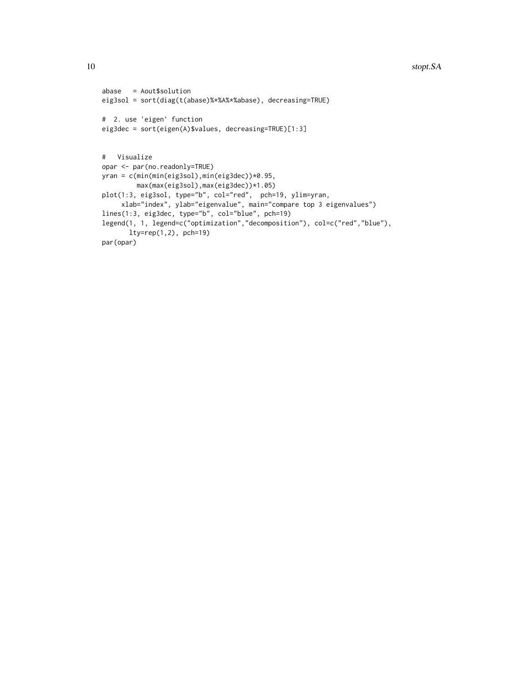```
abase = Aout$solution
eig3sol = sort(diag(t(abase)%*%A%*%abase), decreasing=TRUE)
# 2. use 'eigen' function
eig3dec = sort(eigen(A)$values, decreasing=TRUE)[1:3]
# Visualize
opar <- par(no.readonly=TRUE)
yran = c(min(min(eig3sol),min(eig3dec))*0.95,
        max(max(eig3sol),max(eig3dec))*1.05)
plot(1:3, eig3sol, type="b", col="red", pch=19, ylim=yran,
    xlab="index", ylab="eigenvalue", main="compare top 3 eigenvalues")
lines(1:3, eig3dec, type="b", col="blue", pch=19)
legend(1, 1, legend=c("optimization","decomposition"), col=c("red","blue"),
      lty=rep(1,2), pch=19)
par(opar)
```